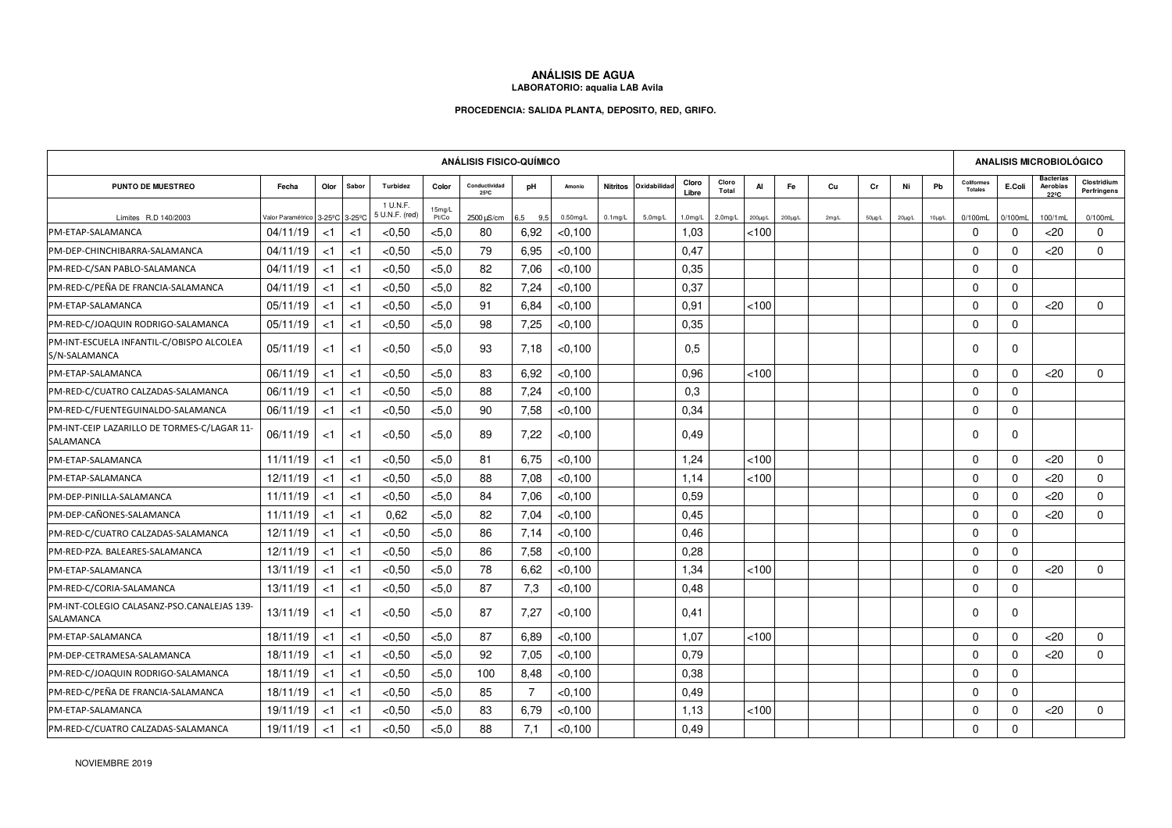## **ANÁLISIS DE AGUA LABORATORIO: aqualia LAB Avila**

## **PROCEDENCIA: SALIDA PLANTA, DEPOSITO, RED, GRIFO.**

| <b>ANÁLISIS FISICO-QUÍMICO</b>                            |                                                           |          |        |                            |                 |                       |                |             |                 |             |                |                |         | <b>ANALISIS MICROBIOLÓGICO</b> |          |             |             |             |                              |             |                                      |                            |
|-----------------------------------------------------------|-----------------------------------------------------------|----------|--------|----------------------------|-----------------|-----------------------|----------------|-------------|-----------------|-------------|----------------|----------------|---------|--------------------------------|----------|-------------|-------------|-------------|------------------------------|-------------|--------------------------------------|----------------------------|
| PUNTO DE MUESTREO                                         | Fecha                                                     | Olor     | Sabor  | Turbidez                   | Color           | Conductividad<br>25°C | pH             | Amonio      | <b>Nitritos</b> | Oxidabilida | Cloro<br>Libre | Cloro<br>Total | Al      | Fe                             | Cu       | Cr          | Ni          | Pb          | Coliformes<br><b>Totales</b> | E.Coli      | <b>Bacterias</b><br>Aerobias<br>22ºC | Clostridium<br>Perfringens |
| Límites R.D 140/2003                                      | /alor Paramétrico 3-25 <sup>°</sup> C 3-25 <sup>°</sup> C |          |        | 1 U.N.F.<br>5 U.N.F. (red) | 15mg/L<br>Pt/Co | 2500 µS/cm            | 6.5<br>9,5     | $0.50$ mg/L | $0.1$ mg/L      | $5.0$ mg/L  | $1,0$ mg/L     | $2,0$ mg/L     | 200µg/L | $200 \mu\text{g/L}$            | $2$ mg/L | $50\mu g/L$ | $20\mu g/L$ | $10\mu g/L$ | 0/100mL                      | $0/100$ mL  | $100/1$ mL                           | 0/100mL                    |
| PM-ETAP-SALAMANCA                                         | 04/11/19                                                  | $<$ 1    | ${<}1$ | < 0.50                     | < 5, 0          | 80                    | 6,92           | <0.100      |                 |             | 1,03           |                | 100     |                                |          |             |             |             | $\mathbf 0$                  | $\Omega$    | $<$ 20                               | $\Omega$                   |
| PM-DEP-CHINCHIBARRA-SALAMANCA                             | 04/11/19                                                  | $<$ 1    | $<$ 1  | < 0, 50                    | < 5, 0          | 79                    | 6,95           | < 0, 100    |                 |             | 0,47           |                |         |                                |          |             |             |             | $\mathbf 0$                  | 0           | <20                                  | $\mathbf 0$                |
| PM-RED-C/SAN PABLO-SALAMANCA                              | 04/11/19                                                  | $<$ 1    | $<$ 1  | < 0, 50                    | < 5.0           | 82                    | 7,06           | < 0.100     |                 |             | 0,35           |                |         |                                |          |             |             |             | $\mathbf 0$                  | $\mathbf 0$ |                                      |                            |
| PM-RED-C/PEÑA DE FRANCIA-SALAMANCA                        | 04/11/19                                                  | <1       | $<$ 1  | < 0, 50                    | < 5, 0          | 82                    | 7,24           | < 0, 100    |                 |             | 0,37           |                |         |                                |          |             |             |             | $\mathbf 0$                  | $\Omega$    |                                      |                            |
| PM-ETAP-SALAMANCA                                         | 05/11/19                                                  | $<$ 1    | ا>     | < 0, 50                    | < 5, 0          | 91                    | 6,84           | < 0, 100    |                 |             | 0,91           |                | 100     |                                |          |             |             |             | $\mathbf 0$                  | $\mathbf 0$ | $<$ 20                               | $\mathbf 0$                |
| PM-RED-C/JOAQUIN RODRIGO-SALAMANCA                        | 05/11/19                                                  | $<$ 1    | $<$ 1  | < 0.50                     | < 5, 0          | 98                    | 7,25           | < 0.100     |                 |             | 0.35           |                |         |                                |          |             |             |             | $\mathbf 0$                  | $\mathbf 0$ |                                      |                            |
| PM-INT-ESCUELA INFANTIL-C/OBISPO ALCOLEA<br>S/N-SALAMANCA | 05/11/19                                                  | $<$ 1    | $<$ 1  | < 0.50                     | < 5.0           | 93                    | 7,18           | < 0.100     |                 |             | 0,5            |                |         |                                |          |             |             |             | $\mathbf 0$                  | $\Omega$    |                                      |                            |
| PM-ETAP-SALAMANCA                                         | 06/11/19                                                  | $<$ 1    | $<$ 1  | < 0.50                     | < 5.0           | 83                    | 6.92           | < 0.100     |                 |             | 0.96           |                | < 100   |                                |          |             |             |             | $\mathbf 0$                  | $\mathbf 0$ | $<$ 20                               | $\mathbf 0$                |
| PM-RED-C/CUATRO CALZADAS-SALAMANCA                        | 06/11/19                                                  | $<$ 1    | $<$ 1  | < 0.50                     | < 5.0           | 88                    | 7.24           | < 0.100     |                 |             | 0,3            |                |         |                                |          |             |             |             | $\mathbf 0$                  | $\mathbf 0$ |                                      |                            |
| PM-RED-C/FUENTEGUINALDO-SALAMANCA                         | 06/11/19                                                  | $<$ 1    | $<$ 1  | < 0.50                     | < 5.0           | 90                    | 7,58           | < 0.100     |                 |             | 0,34           |                |         |                                |          |             |             |             | $\mathbf 0$                  | $\mathbf 0$ |                                      |                            |
| PM-INT-CEIP LAZARILLO DE TORMES-C/LAGAR 11-<br>SALAMANCA  | 06/11/19                                                  | ${<}1$   | <1     | < 0, 50                    | < 5.0           | 89                    | 7,22           | < 0.100     |                 |             | 0.49           |                |         |                                |          |             |             |             | $\mathbf 0$                  | $\mathbf 0$ |                                      |                            |
| PM-ETAP-SALAMANCA                                         | 11/11/19                                                  | $<$ 1    | $<$ 1  | < 0.50                     | < 5.0           | 81                    | 6,75           | < 0.100     |                 |             | 1,24           |                | < 100   |                                |          |             |             |             | $\mathbf 0$                  | $\Omega$    | <20                                  | $\mathbf 0$                |
| PM-ETAP-SALAMANCA                                         | 12/11/19                                                  | $<$ 1    | $<$ 1  | < 0.50                     | < 5.0           | 88                    | 7,08           | < 0.100     |                 |             | 1,14           |                | < 100   |                                |          |             |             |             | $\mathbf 0$                  | $\Omega$    | <20                                  | $\mathbf 0$                |
| PM-DEP-PINILLA-SALAMANCA                                  | 11/11/19                                                  | $<$ 1    | $<$ 1  | < 0, 50                    | < 5, 0          | 84                    | 7,06           | < 0.100     |                 |             | 0.59           |                |         |                                |          |             |             |             | $\mathbf 0$                  | $\mathbf 0$ | <20                                  | $\mathbf 0$                |
| PM-DEP-CAÑONES-SALAMANCA                                  | 11/11/19                                                  | $<$ 1    | $<$ 1  | 0,62                       | < 5.0           | 82                    | 7,04           | < 0.100     |                 |             | 0,45           |                |         |                                |          |             |             |             | $\Omega$                     | $\Omega$    | <20                                  | $\Omega$                   |
| PM-RED-C/CUATRO CALZADAS-SALAMANCA                        | 12/11/19                                                  | $<$ 1    | $<$ 1  | < 0.50                     | < 5.0           | 86                    | 7,14           | < 0.100     |                 |             | 0,46           |                |         |                                |          |             |             |             | $\mathbf 0$                  | $\Omega$    |                                      |                            |
| PM-RED-PZA. BALEARES-SALAMANCA                            | 12/11/19                                                  | $<$ 1    | $<$ 1  | <0.50                      | < 5.0           | 86                    | 7,58           | $<$ 0.100   |                 |             | 0,28           |                |         |                                |          |             |             |             | $\mathbf 0$                  | $\Omega$    |                                      |                            |
| PM-ETAP-SALAMANCA                                         | 13/11/19                                                  | $<$ 1    | $<$ 1  | <0.50                      | < 5.0           | 78                    | 6.62           | < 0.100     |                 |             | 1,34           |                | < 100   |                                |          |             |             |             | $\Omega$                     | $\Omega$    | $<$ 20                               | $\Omega$                   |
| PM-RED-C/CORIA-SALAMANCA                                  | 13/11/19                                                  | $<$ 1    | $<$ 1  | < 0.50                     | < 5.0           | 87                    | 7,3            | < 0.100     |                 |             | 0,48           |                |         |                                |          |             |             |             | $\Omega$                     | $\Omega$    |                                      |                            |
| PM-INT-COLEGIO CALASANZ-PSO.CANALEJAS 139-<br>SALAMANCA   | 13/11/19                                                  | < 1      | $<$ 1  | < 0.50                     | < 5.0           | 87                    | 7,27           | <0.100      |                 |             | 0,41           |                |         |                                |          |             |             |             | 0                            | 0           |                                      |                            |
| PM-ETAP-SALAMANCA                                         | 18/11/19                                                  | $<$ 1    | $<$ 1  | < 0, 50                    | < 5.0           | 87                    | 6.89           | < 0.100     |                 |             | 1,07           |                | < 100   |                                |          |             |             |             | $\mathbf 0$                  | $\Omega$    | <20                                  | $\mathbf 0$                |
| PM-DEP-CETRAMESA-SALAMANCA                                | 18/11/19                                                  | $\leq$ 1 | $<$ 1  | ${<}0,50$                  | < 5.0           | 92                    | 7,05           | < 0.100     |                 |             | 0.79           |                |         |                                |          |             |             |             | $\mathbf 0$                  | $\mathbf 0$ | <20                                  | 0                          |
| PM-RED-C/JOAQUIN RODRIGO-SALAMANCA                        | 18/11/19                                                  | $\leq$ 1 | $<$ 1  | ${<}0,50$                  | < 5.0           | 100                   | 8,48           | < 0.100     |                 |             | 0,38           |                |         |                                |          |             |             |             | $\mathbf 0$                  | $\mathbf 0$ |                                      |                            |
| PM-RED-C/PEÑA DE FRANCIA-SALAMANCA                        | 18/11/19                                                  | $<$ 1    | $<$ 1  | < 0.50                     | < 5.0           | 85                    | $\overline{7}$ | $<$ 0.100   |                 |             | 0,49           |                |         |                                |          |             |             |             | $\mathbf 0$                  | $\Omega$    |                                      |                            |
| PM-ETAP-SALAMANCA                                         | 19/11/19                                                  | $<$ 1    | <1     | < 0.50                     | < 5.0           | 83                    | 6.79           | < 0,100     |                 |             | 1.13           |                | <100    |                                |          |             |             |             | $\Omega$                     | $\Omega$    | <20                                  | $\mathbf 0$                |
| PM-RED-C/CUATRO CALZADAS-SALAMANCA                        | 19/11/19                                                  | $<$ 1    | $<$ 1  | < 0, 50                    | < 5, 0          | 88                    | 7,1            | < 0,100     |                 |             | 0,49           |                |         |                                |          |             |             |             | $\Omega$                     | $\Omega$    |                                      |                            |